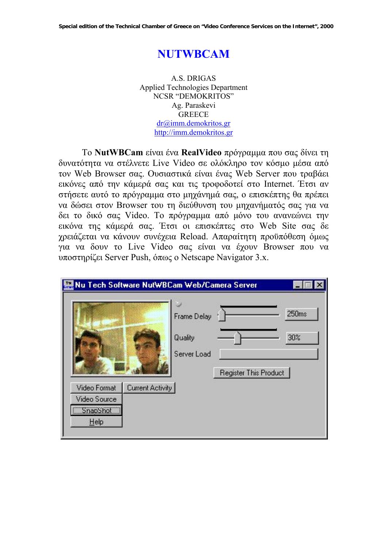# **NUTWBCAM**

A.S. DRIGAS Applied Technologies Department NCSR "DEMOKRITOS" Ag. Paraskevi **GREECE** dr@imm.demokritos.gr http://imm.demokritos.gr

Το **NutWBCam** είναι ένα **RealVideo** πρόγραµµα που σας δίνει τη δυνατότητα να στέλνετε Live Video σε ολόκληρο τον κόσµο µέσα από τον Web Browser σας. Ουσιαστικά είναι ένας Web Server που τραβάει εικόνες από την κάµερά σας και τις τροφοδοτεί στο Internet. Έτσι αν στήσετε αυτό το πρόγραµµα στο µηχάνηµά σας, ο επισκέπτης θα πρέπει να δώσει στον Browser του τη διεύθυνση του µηχανήµατός σας για να δει το δικό σας Video. Το πρόγραµµα από µόνο του ανανεώνει την εικόνα της κάµερά σας. Έτσι οι επισκέπτες στο Web Site σας δε χρειάζεται να κάνουν συνέχεια Reload. Απαραίτητη προϋπόθεση όµως για να δουν το Live Video σας είναι να έχουν Browser που να υποστηρίζει Server Push, όπως ο Netscape Navigator 3.x.

| WM Nu Tech Software NutWBCam Web/Camera Server   |                  |                                       |                       |              |
|--------------------------------------------------|------------------|---------------------------------------|-----------------------|--------------|
|                                                  |                  | Frame Delay<br>Quality<br>Server Load | Register This Product | 250ms<br>30% |
| Video Format<br>Video Source<br>SnapShot<br>Help | Current Activity |                                       |                       |              |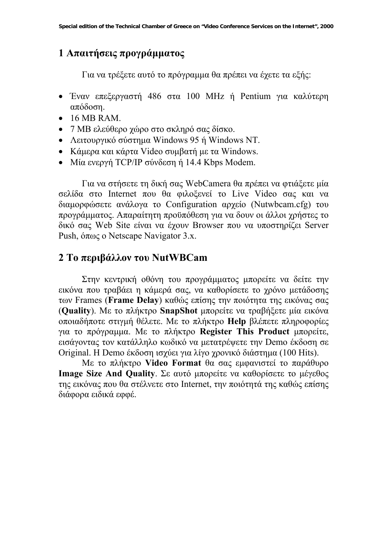### **1 Απαιτήσεις προγράµµατος**

Για να τρέξετε αυτό το πρόγραµµα θα πρέπει να έχετε τα εξής:

- Έναν επεξεργαστή 486 στα 100 MHz ή Pentium για καλύτερη απόδοση.
- 16 MB RAM.
- 7 MB ελεύθερο χώρο στο σκληρό σας δίσκο.
- Λειτουργικό σύστημα Windows 95 ή Windows NT.
- Κάµερα και κάρτα Video συµβατή µε τα Windows.
- Μία ενεργή TCP/IP σύνδεση ή 14.4 Kbps Modem.

Για να στήσετε τη δική σας WebCamera θα πρέπει να φτιάξετε µία σελίδα στο Internet που θα φιλοξενεί το Live Video σας και να διαµορφώσετε ανάλογα το Configuration αρχείο (Nutwbcam.cfg) του προγράµµατος. Απαραίτητη προϋπόθεση για να δουν οι άλλοι χρήστες το δικό σας Web Site είναι να έχουν Browser που να υποστηρίζει Server Push, όπως ο Netscape Navigator 3.x.

#### **2 Το περιβάλλον του NutWBCam**

Στην κεντρική οθόνη του προγράµµατος µπορείτε να δείτε την εικόνα που τραβάει η κάµερά σας, να καθορίσετε το χρόνο µετάδοσης των Frames (**Frame Delay**) καθώς επίσης την ποιότητα της εικόνας σας (**Quality**). Με το πλήκτρο **SnapShot** µπορείτε να τραβήξετε µία εικόνα οποιαδήποτε στιγµή θέλετε. Με το πλήκτρο **Help** βλέπετε πληροφορίες για το πρόγραµµα. Με το πλήκτρο **Register This Product** µπορείτε, εισάγοντας τον κατάλληλο κωδικό να µετατρέψετε την Demo έκδοση σε Original. Η Demo έκδοση ισχύει για λίγο χρονικό διάστηµα (100 Hits).

Με το πλήκτρο **Video Format** θα σας εµφανιστεί το παράθυρο **Image Size And Quality**. Σε αυτό µπορείτε να καθορίσετε το µέγεθος της εικόνας που θα στέλνετε στο Internet, την ποιότητά της καθώς επίσης διάφορα ειδικά εφφέ.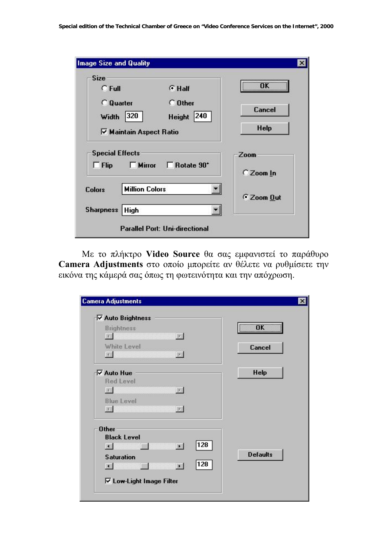| <b>Size</b><br>$C$ Full                                | $G$ Half                   | <br>пĸ      |
|--------------------------------------------------------|----------------------------|-------------|
| <b>C</b> Quarter                                       | $\subset$ Other            | Cancel      |
| 320<br>Width<br><b>▽ Maintain Aspect Ratio</b>         | 240<br><b>Height</b>       | <b>Help</b> |
| <b>Special Effects</b><br>$\Box$ Mirror<br>$\Box$ Flip | $\Box$ Rotate $90^{\circ}$ | Zoom        |
|                                                        |                            | C Zoom In   |
| <b>Million Colors</b><br><b>Colors</b>                 |                            | C Zoom Out  |
| <b>Sharpness</b><br><b>High</b>                        |                            |             |

Με το πλήκτρο **Video Source** θα σας εµφανιστεί το παράθυρο **Camera Adjustments** στο οποίο µπορείτε αν θέλετε να ρυθµίσετε την εικόνα της κάµερά σας όπως τη φωτεινότητα και την απόχρωση.

| <b>⊽ Auto Brightness</b>                         |                                 |                             |
|--------------------------------------------------|---------------------------------|-----------------------------|
| <b>Brightness</b><br><b>START COMMUNISTIC</b>    | $\left  \cdot \right $          | $\overline{\mathbf{X}}$<br> |
| White Level                                      |                                 | <b>Cancel</b>               |
|                                                  | $\left\vert \cdot\right\rangle$ |                             |
| <b>⊽ Auto Hue</b>                                |                                 | <b>Help</b>                 |
| <b>Red Level</b>                                 |                                 |                             |
| <u> Tanzania (h. 1888).</u><br>$\vert$ s $\vert$ | $\left  \cdot \right $          |                             |
| <b>Blue Level</b>                                |                                 |                             |
| <b>All Committee</b>                             | $\vert$ $\vert$                 |                             |
| <b>Other</b>                                     |                                 |                             |
| <b>Black Level</b>                               |                                 |                             |
| $\blacksquare$                                   | 128<br><b>I</b>                 |                             |
| <b>Saturation</b>                                |                                 | <b>Defaults</b>             |
| $\left  \cdot \right $                           | 128<br>$\mathbf{F}$             |                             |
| <b>▽ Low-Light Image Filter</b>                  |                                 |                             |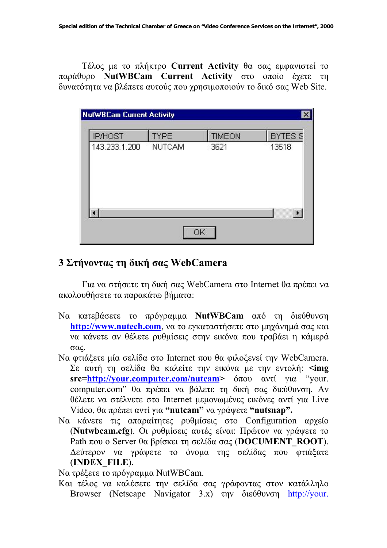Τέλος µε το πλήκτρο **Current Activity** θα σας εµφανιστεί το παράθυρο **NutWBCam Current Activity** στο οποίο έχετε τη δυνατότητα να βλέπετε αυτούς που χρησιµοποιούν το δικό σας Web Site.

| <b>NutWBCam Current Activity</b> |               |               | $\mathbf{x}$   |  |
|----------------------------------|---------------|---------------|----------------|--|
| <b>IP/HOST</b>                   | <b>TYPE</b>   | <b>TIMEON</b> | <b>BYTES S</b> |  |
| 143.233.1.200                    | <b>NUTCAM</b> | 3621          | 13518          |  |
|                                  |               |               | $\blacksquare$ |  |

## **3 Στήνοντας τη δική σας WebCamera**

Για να στήσετε τη δική σας WebCamera στο Internet θα πρέπει να ακολουθήσετε τα παρακάτω βήµατα:

- Να κατεβάσετε το πρόγραµµα **NutWBCam** από τη διεύθυνση **http://www.nutech.com**, να το εγκαταστήσετε στο µηχάνηµά σας και να κάνετε αν θέλετε ρυθµίσεις στην εικόνα που τραβάει η κάµερά σας.
- Να φτιάξετε µία σελίδα στο Internet που θα φιλοξενεί την WebCamera. Σε αυτή τη σελίδα θα καλείτε την εικόνα µε την εντολή: **<img src=http://your.computer.com/nutcam>** όπου αντί για "your. computer.com" θα πρέπει να βάλετε τη δική σας διεύθυνση. Αν θέλετε να στέλνετε στο Internet µεµονωµένες εικόνες αντί για Live Video, θα πρέπει αντί για **"nutcam"** να γράψετε **"nutsnap".**
- Να κάνετε τις απαραίτητες ρυθµίσεις στο Configuration αρχείο (**Nutwbcam.cfg**). Οι ρυθµίσεις αυτές είναι: Πρώτον να γράψετε το Path που ο Server θα βρίσκει τη σελίδα σας (**DOCUMENT\_ROOT**). ∆εύτερον να γράψετε το όνοµα της σελίδας που φτιάξατε (**INDEX\_FILE**).

Να τρέξετε το πρόγραµµα NutWBCam.

Και τέλος να καλέσετε την σελίδα σας γράφοντας στον κατάλληλο Browser (Netscape Navigator 3.x) την διεύθυνση http://your.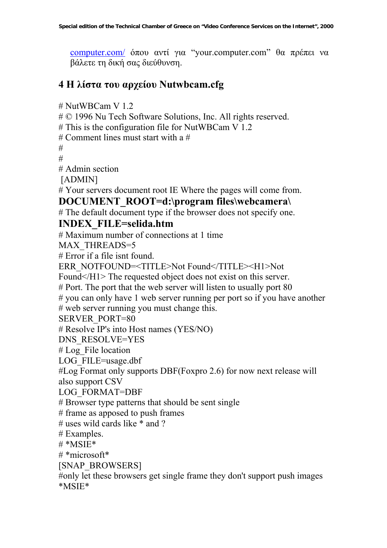computer.com/ όπου αντί για "your.computer.com" θα πρέπει να βάλετε τη δική σας διεύθυνση.

#### **4 Η λίστα του αρχείου Nutwbcam.cfg**

# NutWBCam V 1.2

# © 1996 Nu Tech Software Solutions, Inc. All rights reserved.

# This is the configuration file for NutWBCam V 1.2

# Comment lines must start with a #

 $#$ 

#

# Admin section

[ADMIN]

# Your servers document root IE Where the pages will come from.

#### **DOCUMENT\_ROOT=d:\program files\webcamera\**

# The default document type if the browser does not specify one.

#### **INDEX\_FILE=selida.htm**

# Maximum number of connections at 1 time

MAX THREADS=5

# Error if a file isnt found.

ERR\_NOTFOUND=<TITLE>Not Found</TITLE><H1>Not

Found </H1> The requested object does not exist on this server.

# Port. The port that the web server will listen to usually port 80

# you can only have 1 web server running per port so if you have another

# web server running you must change this.

SERVER\_PORT=80

# Resolve IP's into Host names (YES/NO)

DNS\_RESOLVE=YES

# Log File location

LOG\_FILE=usage.dbf

#Log Format only supports DBF(Foxpro 2.6) for now next release will also support CSV

LOG\_FORMAT=DBF

# Browser type patterns that should be sent single

# frame as apposed to push frames

# uses wild cards like  $*$  and ?

# Examples.

 $#$  \*MSIE\*

 $#*microsoft*$ 

[SNAP\_BROWSERS]

#only let these browsers get single frame they don't support push images \*MSIE\*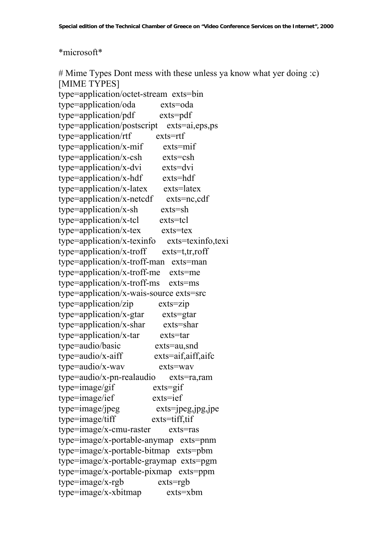#### \*microsoft\*

# Mime Types Dont mess with these unless ya know what yer doing :c) [MIME TYPES] type=application/octet-stream exts=bin type=application/oda exts=oda type=application/pdf exts=pdf type=application/postscript exts=ai,eps,ps type=application/rtf exts=rtf type=application/x-mif exts=mif type=application/x-csh exts=csh type=application/x-dvi exts=dvi type=application/x-hdf exts=hdf type=application/x-latex exts=latex type=application/x-netcdf exts=nc,cdf type=application/x-sh exts=sh type=application/x-tcl exts=tcl type=application/x-tex exts=tex type=application/x-texinfo exts=texinfo,texi type=application/x-troff exts=t,tr,roff type=application/x-troff-man exts=man type=application/x-troff-me exts=me type=application/x-troff-ms exts=ms type=application/x-wais-source exts=src type=application/zip exts=zip type=application/x-gtar exts=gtar type=application/x-shar exts=shar type=application/x-tar exts=tar type=audio/basic exts=au,snd type=audio/x-aiff exts=aif,aiff,aifc type=audio/x-wav exts=wav type=audio/x-pn-realaudio exts=ra,ram type=image/gif exts=gif type=image/ief exts=ief type=image/jpeg exts=jpeg,jpg,jpe type=image/tiff exts=tiff,tif type=image/x-cmu-raster exts=ras type=image/x-portable-anymap exts=pnm type=image/x-portable-bitmap exts=pbm type=image/x-portable-graymap exts=pgm type=image/x-portable-pixmap exts=ppm type=image/x-rgb exts=rgb type=image/x-xbitmap exts=xbm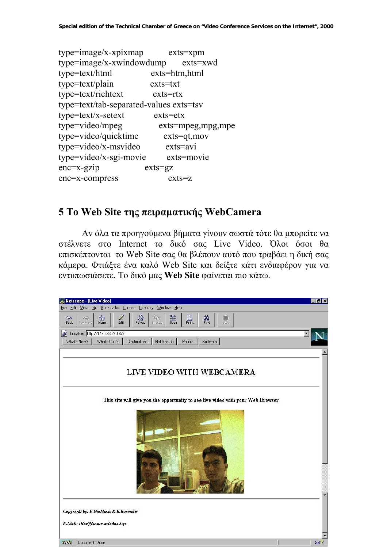type=image/x-xpixmap exts=xpm type=image/x-xwindowdump exts=xwd type=text/html exts=htm,html type=text/plain exts=txt type=text/richtext exts=rtx type=text/tab-separated-values exts=tsv type=text/x-setext exts=etx type=video/mpeg exts=mpeg,mpg,mpe type=video/quicktime exts=qt,mov type=video/x-msvideo exts=avi type=video/x-sgi-movie exts=movie enc=x-gzip exts=gz enc=x-compress exts=z

### **5 Το Web Site της πειραµατικής WebCamera**

Αν όλα τα προηγούµενα βήµατα γίνουν σωστά τότε θα µπορείτε να στέλνετε στο Internet το δικό σας Live Video. Όλοι όσοι θα επισκέπτονται το Web Site σας θα βλέπουν αυτό που τραβάει η δική σας κάµερα. Φτιάξτε ένα καλό Web Site και δείξτε κάτι ενδιαφέρον για να εντυπωσιάσετε. Το δικό µας **Web Site** φαίνεται πιο κάτω.